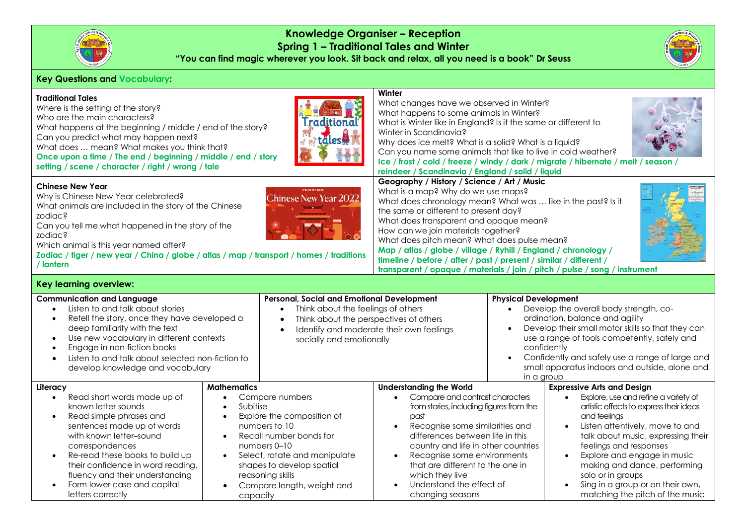

**Knowledge Organiser – Reception Spring 1 – Traditional Tales and Winter**

**"You can find magic wherever you look. Sit back and relax, all you need is a book" Dr Seuss**

## **Key Questions and Vocabulary:**

| <b>Traditional Tales</b><br>Where is the setting of the story?<br>Who are the main characters?<br><b>Traditional</b><br>What happens at the beginning / middle / end of the story?<br>Can you predict what may happen next?<br>täles<br>What does  mean? What makes you think that?<br>Once upon a time / The end / beginning / middle / end / story<br>setting / scene / character / right / wrong / tale |                                                                                                                                                                                                                                                                                                                             |                                                                                                                                                                                                                                           | Winter<br>What changes have we observed in Winter?<br>What happens to some animals in Winter?<br>What is Winter like in England? Is it the same or different to<br>Winter in Scandinavia?<br>Why does ice melt? What is a solid? What is a liquid?<br>Can you name some animals that like to live in cold weather?<br>Ice / frost / cold / freeze / windy / dark / migrate / hibernate / melt / season /<br>reindeer / Scandinavia / England / solid / liquid                                                                                      |                                                                                                                                                                                                                                                                                                                                                              |                                                                                                                                                                                                                                                                                                                                                                                                                              |
|------------------------------------------------------------------------------------------------------------------------------------------------------------------------------------------------------------------------------------------------------------------------------------------------------------------------------------------------------------------------------------------------------------|-----------------------------------------------------------------------------------------------------------------------------------------------------------------------------------------------------------------------------------------------------------------------------------------------------------------------------|-------------------------------------------------------------------------------------------------------------------------------------------------------------------------------------------------------------------------------------------|----------------------------------------------------------------------------------------------------------------------------------------------------------------------------------------------------------------------------------------------------------------------------------------------------------------------------------------------------------------------------------------------------------------------------------------------------------------------------------------------------------------------------------------------------|--------------------------------------------------------------------------------------------------------------------------------------------------------------------------------------------------------------------------------------------------------------------------------------------------------------------------------------------------------------|------------------------------------------------------------------------------------------------------------------------------------------------------------------------------------------------------------------------------------------------------------------------------------------------------------------------------------------------------------------------------------------------------------------------------|
| <b>Chinese New Year</b><br>Why is Chinese New Year celebrated?<br><b>Chinese New Year 2022</b><br>What animals are included in the story of the Chinese<br>zodiac?<br>Can you tell me what happened in the story of the<br>zodiac?<br>Which animal is this year named after?<br>Zodiac / tiger / new year / China / globe / atlas / map / transport / homes / traditions<br>/ lantern                      |                                                                                                                                                                                                                                                                                                                             |                                                                                                                                                                                                                                           | Geography / History / Science / Art / Music<br>What is a map? Why do we use maps?<br>What does chronology mean? What was  like in the past? Is it<br>the same or different to present day?<br>What does transparent and opaque mean?<br>How can we join materials together?<br>What does pitch mean? What does pulse mean?<br>Map / atlas / globe / village / Ryhill / England / chronology /<br>timeline / before / after / past / present / similar / different /<br>transparent / opaque / materials / join / pitch / pulse / song / instrument |                                                                                                                                                                                                                                                                                                                                                              |                                                                                                                                                                                                                                                                                                                                                                                                                              |
| Key learning overview:                                                                                                                                                                                                                                                                                                                                                                                     |                                                                                                                                                                                                                                                                                                                             |                                                                                                                                                                                                                                           |                                                                                                                                                                                                                                                                                                                                                                                                                                                                                                                                                    |                                                                                                                                                                                                                                                                                                                                                              |                                                                                                                                                                                                                                                                                                                                                                                                                              |
| <b>Communication and Language</b><br>Listen to and talk about stories<br>Retell the story, once they have developed a<br>$\bullet$<br>deep familiarity with the text<br>Use new vocabulary in different contexts<br>$\bullet$<br>Engage in non-fiction books<br>Listen to and talk about selected non-fiction to<br>$\bullet$<br>develop knowledge and vocabulary                                          |                                                                                                                                                                                                                                                                                                                             | Personal, Social and Emotional Development<br>Think about the feelings of others<br>$\bullet$<br>Think about the perspectives of others<br>$\bullet$<br>Identify and moderate their own feelings<br>$\bullet$<br>socially and emotionally |                                                                                                                                                                                                                                                                                                                                                                                                                                                                                                                                                    | <b>Physical Development</b><br>Develop the overall body strength, co-<br>$\bullet$<br>ordination, balance and agility<br>Develop their small motor skills so that they can<br>use a range of tools competently, safely and<br>confidently<br>Confidently and safely use a range of large and<br>small apparatus indoors and outside, alone and<br>in a group |                                                                                                                                                                                                                                                                                                                                                                                                                              |
| Literacy<br>Read short words made up of<br>$\bullet$<br>known letter sounds<br>Read simple phrases and<br>sentences made up of words<br>with known letter-sound<br>correspondences<br>Re-read these books to build up<br>$\bullet$<br>their confidence in word reading,<br>fluency and their understanding<br>Form lower case and capital<br>letters correctly                                             | <b>Mathematics</b><br>Compare numbers<br>$\bullet$<br>Subitise<br>Explore the composition of<br>$\bullet$<br>numbers to 10<br>Recall number bonds for<br>$\bullet$<br>numbers 0-10<br>Select, rotate and manipulate<br>$\bullet$<br>shapes to develop spatial<br>reasoning skills<br>Compare length, weight and<br>capacity |                                                                                                                                                                                                                                           | <b>Understanding the World</b><br>Compare and contrast characters<br>from stories, including figures from the<br>past<br>Recognise some similarities and<br>differences between life in this<br>country and life in other countries<br>Recognise some environments<br>that are different to the one in<br>which they live<br>Understand the effect of<br>changing seasons                                                                                                                                                                          |                                                                                                                                                                                                                                                                                                                                                              | <b>Expressive Arts and Design</b><br>Explore, use and refine a variety of<br>$\bullet$<br>artistic effects to express their ideas<br>and feelings<br>Listen attentively, move to and<br>talk about music, expressing their<br>feelings and responses<br>Explore and engage in music<br>$\bullet$<br>making and dance, performing<br>solo or in groups<br>Sing in a group or on their own,<br>matching the pitch of the music |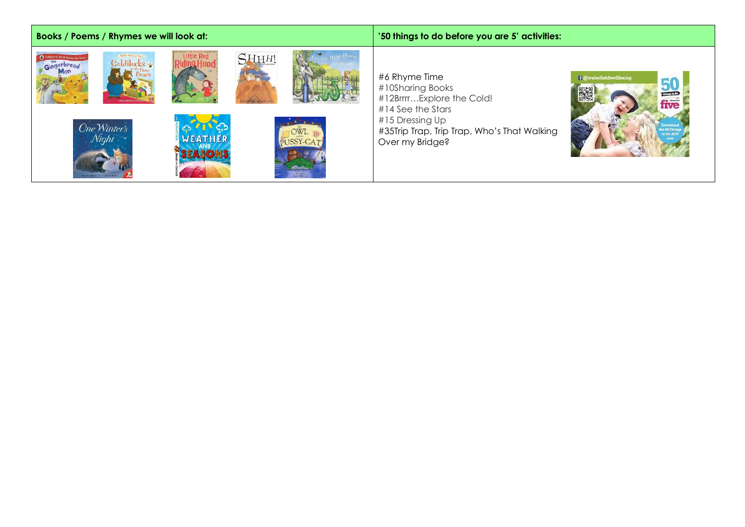